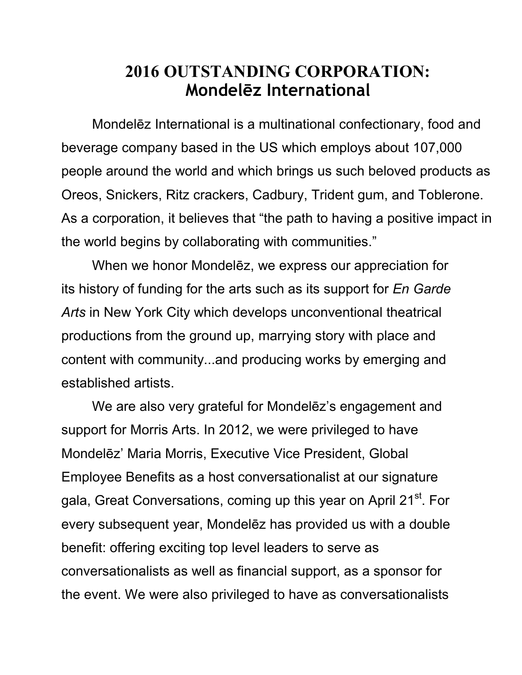## **2016 OUTSTANDING CORPORATION: Mondelēz International**

 Mondelēz International is a multinational confectionary, food and beverage company based in the US which employs about 107,000 people around the world and which brings us such beloved products as Oreos, Snickers, Ritz crackers, Cadbury, Trident gum, and Toblerone. As a corporation, it believes that "the path to having a positive impact in the world begins by collaborating with communities."

 When we honor Mondelēz, we express our appreciation for its history of funding for the arts such as its support for *En Garde Arts* in New York City which develops unconventional theatrical productions from the ground up, marrying story with place and content with community...and producing works by emerging and established artists.

 We are also very grateful for Mondelēz's engagement and support for Morris Arts. In 2012, we were privileged to have Mondelēz' Maria Morris, Executive Vice President, Global Employee Benefits as a host conversationalist at our signature gala, Great Conversations, coming up this year on April 21<sup>st</sup>. For every subsequent year, Mondelēz has provided us with a double benefit: offering exciting top level leaders to serve as conversationalists as well as financial support, as a sponsor for the event. We were also privileged to have as conversationalists